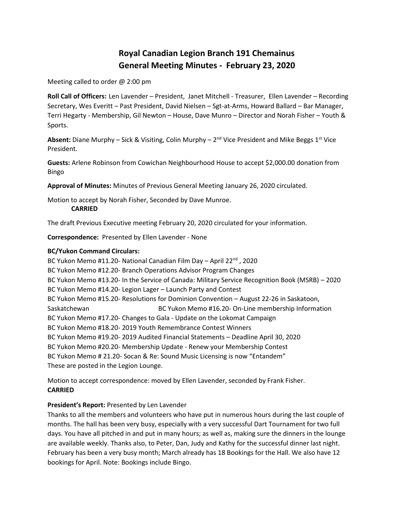# **Royal Canadian Legion Branch 191 Chemainus General Meeting Minutes - February 23, 2020**

Meeting called to order @ 2:00 pm

**Roll Call of Officers:** Len Lavender – President, Janet Mitchell - Treasurer, Ellen Lavender – Recording Secretary, Wes Everitt – Past President, David Nielsen – Sgt-at-Arms, Howard Ballard – Bar Manager, Terri Hegarty - Membership, Gil Newton – House, Dave Munro – Director and Norah Fisher – Youth & Sports.

Absent: Diane Murphy – Sick & Visiting, Colin Murphy – 2<sup>nd</sup> Vice President and Mike Beggs 1<sup>st</sup> Vice President.

**Guests:** Arlene Robinson from Cowichan Neighbourhood House to accept \$2,000.00 donation from Bingo

**Approval of Minutes:** Minutes of Previous General Meeting January 26, 2020 circulated.

Motion to accept by Norah Fisher, Seconded by Dave Munroe.

**CARRIED**

The draft Previous Executive meeting February 20, 2020 circulated for your information.

**Correspondence:** Presented by Ellen Lavender - None

# **BC/Yukon Command Circulars:**

BC Yukon Memo #11.20- National Canadian Film Day - April 22<sup>nd</sup>, 2020 BC Yukon Memo #12.20- Branch Operations Advisor Program Changes BC Yukon Memo #13.20- In the Service of Canada: Military Service Recognition Book (MSRB) – 2020 BC Yukon Memo #14.20- Legion Lager – Launch Party and Contest BC Yukon Memo #15.20- Resolutions for Dominion Convention – August 22-26 in Saskatoon, Saskatchewan BC Yukon Memo #16.20- On-Line membership Information BC Yukon Memo #17.20- Changes to Gala - Update on the Lokomat Campaign BC Yukon Memo #18.20- 2019 Youth Remembrance Contest Winners BC Yukon Memo #19.20- 2019 Audited Financial Statements – Deadline April 30, 2020 BC Yukon Memo #20.20- Membership Update - Renew your Membership Contest BC Yukon Memo # 21.20- Socan & Re: Sound Music Licensing is now "Entandem" These are posted in the Legion Lounge.

Motion to accept correspondence: moved by Ellen Lavender, seconded by Frank Fisher. **CARRIED**

# **President's Report:** Presented by Len Lavender

Thanks to all the members and volunteers who have put in numerous hours during the last couple of months. The hall has been very busy, especially with a very successful Dart Tournament for two full days. You have all pitched in and put in many hours; as well as, making sure the dinners in the lounge are available weekly. Thanks also, to Peter, Dan, Judy and Kathy for the successful dinner last night. February has been a very busy month; March already has 18 Bookings for the Hall. We also have 12 bookings for April. Note: Bookings include Bingo.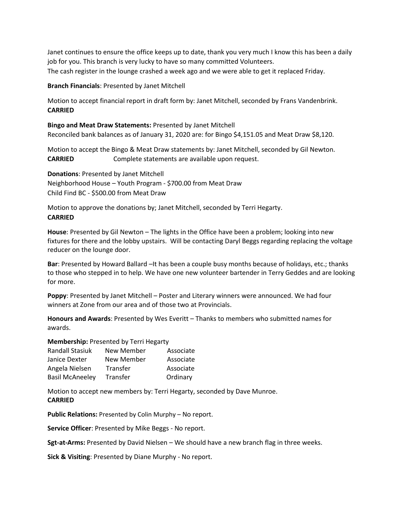Janet continues to ensure the office keeps up to date, thank you very much I know this has been a daily job for you. This branch is very lucky to have so many committed Volunteers. The cash register in the lounge crashed a week ago and we were able to get it replaced Friday.

**Branch Financials**: Presented by Janet Mitchell

Motion to accept financial report in draft form by: Janet Mitchell, seconded by Frans Vandenbrink. **CARRIED**

**Bingo and Meat Draw Statements:** Presented by Janet Mitchell Reconciled bank balances as of January 31, 2020 are: for Bingo \$4,151.05 and Meat Draw \$8,120.

Motion to accept the Bingo & Meat Draw statements by: Janet Mitchell, seconded by Gil Newton. **CARRIED** Complete statements are available upon request.

**Donations**: Presented by Janet Mitchell Neighborhood House – Youth Program - \$700.00 from Meat Draw Child Find BC - \$500.00 from Meat Draw

Motion to approve the donations by; Janet Mitchell, seconded by Terri Hegarty. **CARRIED**

**House**: Presented by Gil Newton – The lights in the Office have been a problem; looking into new fixtures for there and the lobby upstairs. Will be contacting Daryl Beggs regarding replacing the voltage reducer on the lounge door.

**Bar**: Presented by Howard Ballard –It has been a couple busy months because of holidays, etc.; thanks to those who stepped in to help. We have one new volunteer bartender in Terry Geddes and are looking for more.

**Poppy**: Presented by Janet Mitchell – Poster and Literary winners were announced. We had four winners at Zone from our area and of those two at Provincials.

**Honours and Awards**: Presented by Wes Everitt – Thanks to members who submitted names for awards.

**Membership:** Presented by Terri Hegarty

| <b>Randall Stasiuk</b> | New Member | Associate |
|------------------------|------------|-----------|
| Janice Dexter          | New Member | Associate |
| Angela Nielsen         | Transfer   | Associate |
| <b>Basil McAneeley</b> | Transfer   | Ordinary  |

Motion to accept new members by: Terri Hegarty, seconded by Dave Munroe. **CARRIED**

**Public Relations:** Presented by Colin Murphy – No report.

**Service Officer**: Presented by Mike Beggs - No report.

**Sgt-at-Arms:** Presented by David Nielsen – We should have a new branch flag in three weeks.

**Sick & Visiting**: Presented by Diane Murphy - No report.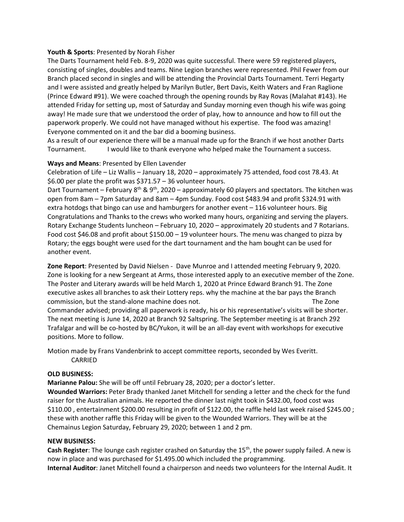## **Youth & Sports**: Presented by Norah Fisher

The Darts Tournament held Feb. 8-9, 2020 was quite successful. There were 59 registered players, consisting of singles, doubles and teams. Nine Legion branches were represented. Phil Fewer from our Branch placed second in singles and will be attending the Provincial Darts Tournament. Terri Hegarty and I were assisted and greatly helped by Marilyn Butler, Bert Davis, Keith Waters and Fran Raglione (Prince Edward #91). We were coached through the opening rounds by Ray Rovas (Malahat #143). He attended Friday for setting up, most of Saturday and Sunday morning even though his wife was going away! He made sure that we understood the order of play, how to announce and how to fill out the paperwork properly. We could not have managed without his expertise. The food was amazing! Everyone commented on it and the bar did a booming business.

As a result of our experience there will be a manual made up for the Branch if we host another Darts Tournament. I would like to thank everyone who helped make the Tournament a success.

## **Ways and Means**: Presented by Ellen Lavender

Celebration of Life – Liz Wallis – January 18, 2020 – approximately 75 attended, food cost 78.43. At \$6.00 per plate the profit was \$371.57 – 36 volunteer hours.

Dart Tournament – February 8<sup>th</sup> & 9<sup>th</sup>, 2020 – approximately 60 players and spectators. The kitchen was open from 8am – 7pm Saturday and 8am – 4pm Sunday. Food cost \$483.94 and profit \$324.91 with extra hotdogs that bingo can use and hamburgers for another event – 116 volunteer hours. Big Congratulations and Thanks to the crews who worked many hours, organizing and serving the players. Rotary Exchange Students luncheon – February 10, 2020 – approximately 20 students and 7 Rotarians. Food cost \$46.08 and profit about \$150.00 – 19 volunteer hours. The menu was changed to pizza by Rotary; the eggs bought were used for the dart tournament and the ham bought can be used for another event.

**Zone Report**: Presented by David Nielsen - Dave Munroe and I attended meeting February 9, 2020. Zone is looking for a new Sergeant at Arms, those interested apply to an executive member of the Zone. The Poster and Literary awards will be held March 1, 2020 at Prince Edward Branch 91. The Zone executive askes all branches to ask their Lottery reps. why the machine at the bar pays the Branch commission, but the stand-alone machine does not. The Zone Commander advised; providing all paperwork is ready, his or his representative's visits will be shorter.

The next meeting is June 14, 2020 at Branch 92 Saltspring. The September meeting is at Branch 292 Trafalgar and will be co-hosted by BC/Yukon, it will be an all-day event with workshops for executive positions. More to follow.

Motion made by Frans Vandenbrink to accept committee reports, seconded by Wes Everitt. CARRIED

### **OLD BUSINESS:**

**Marianne Palou:** She will be off until February 28, 2020; per a doctor's letter.

**Wounded Warriors:** Peter Brady thanked Janet Mitchell for sending a letter and the check for the fund raiser for the Australian animals. He reported the dinner last night took in \$432.00, food cost was \$110.00 , entertainment \$200.00 resulting in profit of \$122.00, the raffle held last week raised \$245.00 ; these with another raffle this Friday will be given to the Wounded Warriors. They will be at the Chemainus Legion Saturday, February 29, 2020; between 1 and 2 pm.

### **NEW BUSINESS:**

Cash Register: The lounge cash register crashed on Saturday the 15<sup>th</sup>, the power supply failed. A new is now in place and was purchased for \$1.495.00 which included the programming.

**Internal Auditor**: Janet Mitchell found a chairperson and needs two volunteers for the Internal Audit. It